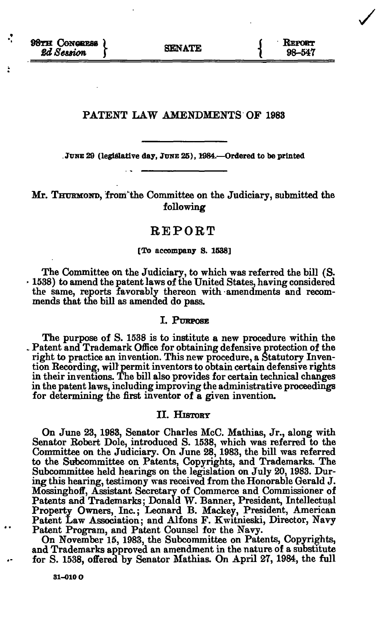÷

à

## PATENT LAW AMENDMENTS OF 1983

JURE 29 (legislative day, JUNE 25), 1984.—Ordered to be printed

Mr. THURMOND, from'the Committee on the Judiciary, submitted the following

# REPORT

[To accompany S. 1538]

The Committee on the Judiciary, to which was referred the bill (S. 1538) to amend the patent laws of the United States, having considered the same, reports favorably thereon with-amendments and recommends that the bill as amended do pass.

### I. PURPOSE

The purpose of S. 1538 is to institute a new procedure within the . Patent and Trademark Office for obtaining defensive protection of the right to practice an invention. This new procedure, a Statutory Invention Recording, will'permit inventors to obtain certain defensive rights in their inventions. The bill also provides for certain technical changes in the patent laws, including improving the administrative proceedings for determining the first inventor of a given invention.

# II. HISTORY

On June 23, 1983, Senator Charles McC. Mathias, Jr., along with Senator Bobert Dole, introduced S. 1538, which was referred to the Committee on the Judiciary. On June 28, 1983, the bill was referred to the Subcommittee on Patents, Copyrights, and Trademarks. The Subcommittee held hearings on the legislation on July 20, 1983. During this hearing, testimony was received from the Honorable Gerald J. Mossinghoff, Assistant Secretary of Commerce and Commissioner of Patents and Trademarks; Donald W. Banner, President, Intellectual Property Owners, Inc.; Leonard B. Mackey, President, American Patent Law Association; and Alfons F. Kwitnieski, Director, Navy Patent Program, and Patent Counsel for the Navy.

On November 15, 1983, the Subcommittee on Patents, Copyrights, and Trademarks approved an amendment in the nature of a substitute for S. 1538, offered by Senator Mathias. On April 27, 1984, the full

**31-010 o**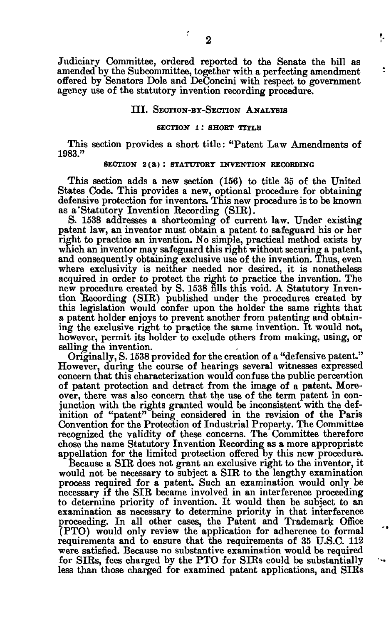Judiciary Committee, ordered reported to the Senate the bill as amended by the Subcommittee, together with a perfecting amendment offered by Senators Dole and DeConcini with respect to government agency use of the statutory invention recording procedure.

 $\hat{\mathbf{z}}$ 

### III. SECTION-BY-SECTION ANALYSIS

### **SECTION 1 : SHORT TITLE**

This section provides a short title: "Patent Law Amendments of 1983."

### **SECTION 2(a ) : STATUTORY INVENTION RECORDING**

This section adds a new section (156) to title 35 of the United States Code. This provides a new, optional procedure for obtaining defensive protection for inventors. This new procedure is to be known as a'Statutory Invention Recording (SIR).

S. 1538 addresses a shortcoming of current law. Under existing patent law, an inventor must obtain a patent to safeguard his or her right to practice an invention. No simple, practical method exists by which an inventor may safeguard this right without securing a patent, and consequently obtaining exclusive use of the invention. Thus, even where exclusivity is neither needed nor desired, it is nonetheless acquired in order to protect the right to practice the invention. The new procedure created by S. 1538 fills this void. A Statutory Invention Recording (SIR) published under the procedures created by this legislation would confer upon the holder the same rights that a patent holder enjoys to prevent another from patenting and obtaining the exclusive right to practice the same invention. It would not, however, permit its holder to exclude others from making, using, or selling the invention.

Originally, S. 1538 provided for the creation of a "defensive patent." However, during the course of hearings several witnesses expressed concern that this characterization would confuse the public perception of patent protection and detract from the image of a patent. Moreover, there was also concern that the use of the term patent in conjunction with the rights granted would be inconsistent with the definition of "patent" being considered in the revision of the Paris Convention for the Protection of Industrial Property. The Committee recognized the validity of these concerns. The Committee therefore chose the name Statutory Invention Recording as a more appropriate appellation for the limited protection offered by this new procedure.

Because a SIR does not grant an exclusive right to the inventor, it would not be necessary to subject a SIR to the lengthy examination process required for a patent. Such an examination would only be necessary if the SIR became involved in an interference proceeding to determine priority of invention. It would then be subject to an examination as necessary to determine priority in that interference proceeding. In all other cases, the Patent and Trademark Office (PTO) would only review the application for adherence to formal requirements and to ensure that the requirements of 35 U.S.C. 112 were satisfied. Because no substantive examination would be required for SIRs, fees charged by the PTO for SIRs could be substantially less than those charged for examined patent applications, and SIRs

÷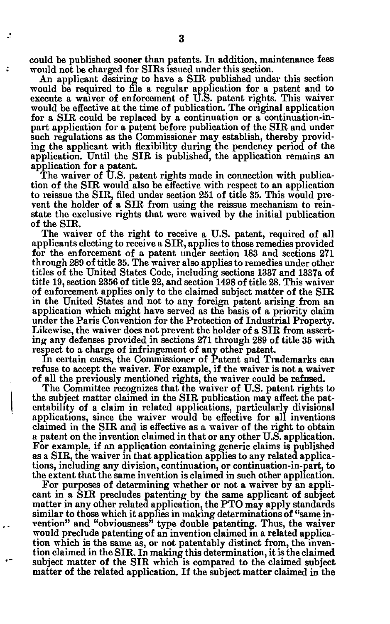could be published sooner than patents. In addition, maintenance fees would not be charged for SIRs issued under this section.

An applicant desiring to have a SIR published under this section would be required to file a regular application for a patent and to execute a waiver of enforcement of U.S. patent rights. This waiver would be effective at the time of publication. The original application for a SIR could be replaced by a continuation or a continuation-inpart application for a patent before publication of the SIR and under such regulations as the Commissioner may establish, thereby providing the applicant with flexibility during the pendency period of the application. Until the SIR is published, the application remains an application for a patent.

The waiver of U.S. patent rights made in connection with publication of the SIR would also be effective with respect to an application to reissue the SIR, filed under section 251 of title 35. This would prevent the holder of a SIR from using the reissue mechanism to reinstate the exclusive rights that were waived by the initial publication of the SIR,

The waiver of the right to receive a U.S. patent, required of all applicants electing to receive a SIR, applies to those remedies provided for the enforcement of a patent under section 183 and sections 271 through 289 of title 35. The waiver also applies to remedies under other titles of the United States Code, including sections 1337 and 1337a of title 19, section 2356 of title 22, and section 1498 of title 28. This waiver of enforcement applies only to the claimed subject matter of the SIR in the United States and not to any foreign patent arising from an application which might have served as the basis of a priority claim under the Paris Convention for the Protection of Industrial Property. Likewise, the waiver does not prevent the holder of a SIR from asserting any defenses provided in sections 271 through 289 of title 35 with respect to a charge of infringement of any other patent.

In certain cases, the Commissioner of Patent and Trademarks can refuse to accept the waiver. For example, if the waiver is not a waiver of all the previously mentioned rights, the waiver could be refused.

The Committee recognizes that the waiver of U.S. patent rights to the subject matter claimed in the SIR publication may affect the patentability of a claim in related applications, particularly divisional applications, since the waiver would be effective for all inventions claimed in the SIR and is effective as a waiver of the right to obtain a patent on the invention claimed in that or any other U.S. application. For example, if an application containing generic claims is published as a SIR, the waiver in that application applies to any related applications, including any division, continuation, or continuation-in-part, to the extent that the same invention is claimed in such other application.

For purposes of determining whether or not a waiver by an applicant in a SIR precludes patenting by the same applicant of subject matter in any other related application, the PTO may apply standards similar to those which it applies in making determinations of "same invention" and "obviousness" type double patenting. Thus, the waiver would preclude patenting of an invention claimed in a related application which is the same as, or not patentably distinct from, the invention claimed in the SIR, In making this determination, it is the claimed subject matter of the SIR which is compared to the claimed subject matter of the related application. If the subject matter claimed in the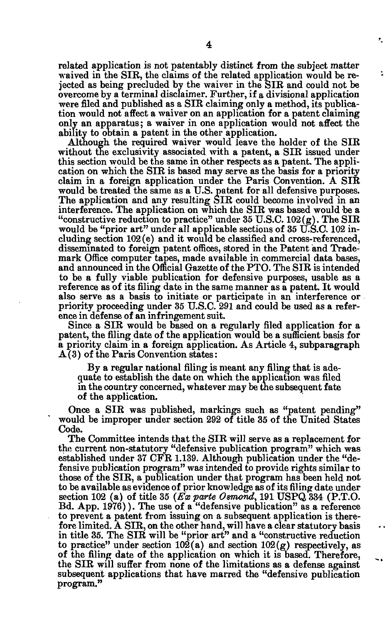related application is not patentably distinct from the subject matter waived in the SIR, the claims of the related application would be rejected as being precluded by the waiver in the SIR and could not be overcome by a terminal disclaimer. Further, if a divisional application were filed and published as a SIR claiming only a method, its publication would not affect a waiver on an application for a patent claiming only an apparatus; a waiver in one application would not affect the ability to obtain a patent in the other application.

Although the required waiver would leave the holder of the SIR without the exclusivity associated with a patent, a SIR issued under this section would be the same in other respects as a patent. The application on which the SIR is based may serve as the basis for a priority claim in a foreign application under the Paris Convention. A SIR would be treated the same as a U.S. patent for all defensive purposes. The application and any resulting SIR could become involved in an interference. The application on which the SIR was based would be a "constructive reduction to practice" under 35 U.S.C.  $102(g)$ . The SIR would be "prior art" under all applicable sections of 35  $\overline{U}$ .S.C. 102 including section 102(e) and it would be classified and cross-referenced, disseminated to foreign patent offices, stored in the Patent and Trademark Office computer tapes, made available in commercial data bases, and announced in the Official Gazette of the PTO. The SIR is intended to be a fully viable publication for defensive purposes, usable as a reference as of its filing date in the same manner as a patent. It would also serve as a basis to initiate or participate in an interference or priority proceeding under 35 U.S.C. 291 and could be used as a reference in defense of an infringement suit.

Since a SIR would be based on a regularly filed application for a patent, the filing date of the application would be a sufficient basis for a priority claim in a foreign application. As Article 4, subparagraph  $A(3)$  of the Paris Convention states:

By a regular national filing is meant any filing that is adequate to establish the date on which the application was filed in the country concerned, whatever may be the subsequent fate of the application.

Once a SIR was published, markings such as "patent pending" would be improper under section 292 of title 35 of the United States Code.

The Committee intends that the SIR will serve as a replacement for the current non-statutory "defensive publication program" which was established under 37 CFR 1.139. Although publication under the "defensive publication program" was intended to provide rights similar to those of the SIR, a publication under that program has been held not to be available as evidence of prior knowledge as of its filing date under section 102 (a) of title 35 *(Ex parte Osmond,* 191 USPQ 334 (P.T.O. Bd. App. 1976)). The use of a "defensive publication" as a reference to prevent a patent from issuing on a subsequent application is therefore limited. A SIR, on the other hand, will have a clear statutory basis in title 35. The SIR will be "prior art" and a "constructive reduction to practice" under section  $10\hat{2}$ (a) and section  $102(g)$  respectively, as of the filing date of the application on which it is based. Therefore, the SIR will suffer from none of the limitations as a defense against subsequent applications that have marred the "defensive publication program."

P.

 $\ddot{\phantom{0}}$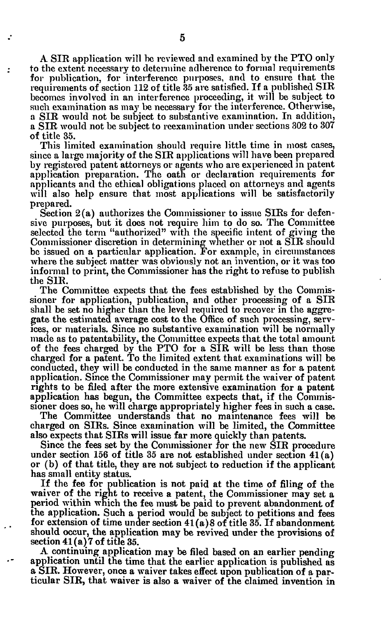A SIR application will be reviewed and examined by the PTO only to the extent necessary to determine adherence to formal requirements for publication, for interference purposes, and to ensure that the requirements of section 112 of title 35 are satisfied. If a published SIR becomes involved in an interference proceeding, it will be subject to such examination as may be necessary for the interference. Otherwise, a SIR would not be subject to substantive examination. In addition, a SIR would not be subject to reexamination under sections 302 to 307 of title 35.

÷

This limited examination should require little time in most cases, since a large majority of the SIR applications will have been prepared by registered patent attorneys or agents who are experienced in patent application preparation. The oath or declaration requirements for applicants and the ethical obligations placed on attorneys and agents will also help ensure that most applications will be satisfactorily prepared.

Section 2(a) authorizes the Commissioner to issue SIRs for defensive purposes, but it does not require him to do so. The Committee selected the term "authorized" with the specific intent of giving the Commissioner discretion in determining whether or not a SIR should be issued on a particular application. For example, in circumstances where the subject matter was obviously not an invention, or it was too informal to print, the Commissioner has the right to refuse to publish the SIR.

The Committee expects that the fees established by the Commissioner for application, publication, and other processing of a SIR shall be set no higher than the level required to recover in the aggregate the estimated average cost to the Office of such processing, services, or materials. Since no substantive examination will be normally made as to patentability, the Committee expects that the total amount of the fees charged by the PTO for a SIR will be less than those charged for a patent. To the limited extent that examinations will be conducted, they will be conducted in the same manner as for a patent application. Since the Commissioner may permit the waiver of patent rights to be filed after the more extensive examination for a patent application has begun, the Committee expects that, if the Commissioner does so, he will charge appropriately higher fees in such a case.

The Committee understands that no maintenance fees will be charged on SIRs. Since examination will be limited, the Committee also expects that SIRs will issue far more quickly than patents.

Since the fees set by the Commissioner for the new SIR procedure under section 156 of title 35 are not established under section 41 (a) or (b) of that title, they are not subject to reduction if the applicant has small entity status.

If the fee for publication is not paid at the time of filing of the waiver of the right to receive a patent, the Commissioner may set a period within which the fee must be paid to prevent abandonment of the application. Such a period would be subject to petitions and fees for extension of time under section 41 (a)8 of title 35. If abandonment should occur, the application may be revived under the provisions of section  $41(a)7$  of title 35.

A continuing application may be filed based on an earlier pending application until the time that the earlier application is published as a **SIR.** However, once a waiver takes effect upon publication of a particular **SIR,** that waiver is also a waiver of the claimed invention in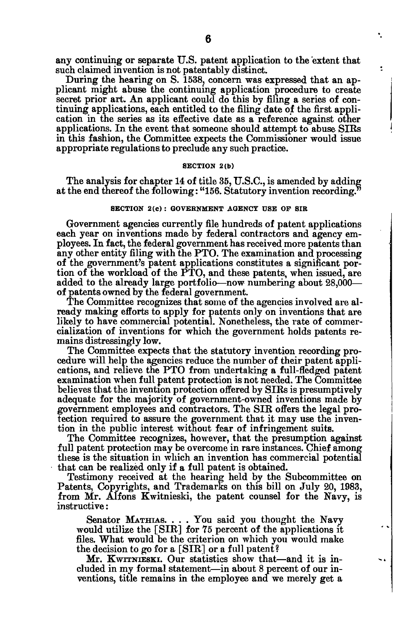During the hearing on S. 1538, concern was expressed that an applicant might abuse the continuing application procedure to create secret prior art. An applicant could do this by filing a series of continuing applications, each entitled to the filing date of the first application in the series as its effective date as a reference against other applications. In the event that someone should attempt to abuse SIRs in this fashion, the Committee expects the Commissioner would issue appropriate regulations to preclude any such practice.

### **SECTION 2(b)**

The analysis for chapter 14 of title 35, U.S.C., is amended by adding at the end thereof the following: "156. Statutory invention recording.

### **SECTION 2(c) : GOVERNMENT AGENCY DSE OF SIR**

Government agencies currently file hundreds of patent applications each year on inventions made by federal contractors and agency employees. In fact, the federal government has received more patents than any other entity filing with the PTO. The examination and processing of the government's patent applications constitutes a significant portion of the workload of the PTO, and these patents, when issued, are added to the already large portfolio—now numbering about 28,000 of patents owned by the federal government.

The Committee recognizes that some of the agencies involved are already making efforts to apply for patents only on inventions that are likely to have commercial potential. Nonetheless, the rate of commercialization of inventions for which the government holds patents remains distressingly low.

The Committee expects that the statutory invention recording procedure will help the agencies reduce the number of their patent applications, and relieve the PTO from undertaking a full-fledged patent examination when full patent protection is not needed. The Committee believes that the invention protection offered by SIRs is presumptively adequate for the majority of government-owned inventions made by government employees and contractors. The SIR offers the legal protection required to assure the government that it may use the invention in the public interest without fear of infringement suits.

The Committee recognizes, however, that the presumption against full patent protection may be overcome in rare instances. Chief among these is the situation in which an invention has commercial potential that can be realized only if a full patent is obtained.

Testimony received at the hearing held by the Subcommittee on Patents, Copyrights, and Trademarks on this bill on July 20, 1983, from Mr. Alfons Kwitnieski, the patent counsel for the Navy, is instructive:

Senator MATHIAS. . . . You said you thought the Navy would utilize the [SIR] for 75 percent of the applications it files. What would be the criterion on which you would make the decision to go for a [SIR] or a full patent?

Mr. KWITNIESKI. Our statistics show that—and it is included in my formal statement—in about 8 percent of our inventions, title remains in the employee and we merely get a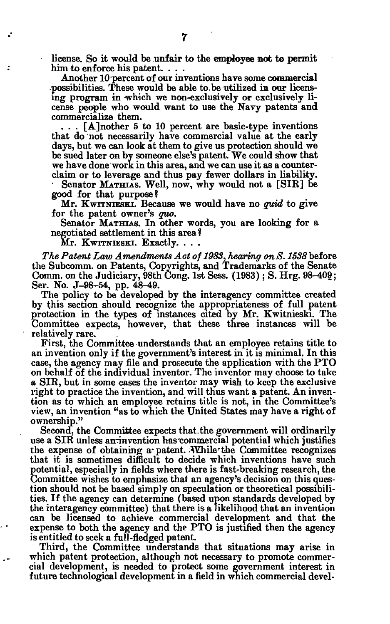*•* license. So it would be unfair to the employee not to permit him to enforce his patent...

Another 10 percent of our inventions have some commercial •possibilities. These would be able [to.be](http://to.be) utilized in our licensing program in -which we non-exclusively or exclusively license people who would want to use the Navy patents and commercialize them.

. . . [A]nother 5 to 10 percent are basic-type inventions that do not necessarily have commercial value at the early days, but we can look at them to give us protection should we be sued later on by someone else's patent. We could show that we have done work in this area, and we can use it as a counterclaim or to leverage and thus pay fewer dollars in liability. • Senator MATHIAS. Well, now, why would not a [SIR] be good for that purpose?

Mr. KWITNIESKI. Because we would have no *quid* to give for the patent owner's *quo.* 

Senator MATHIAS. In other words, you are looking for a negotiated settlement in this area ?

Mr. KWITNIESKI. Exactly. . . .

*The Patent Law Amendments Act of 1983, tearing on S. 1538* before the Subcomm. on Patents, Copyrights, and Trademarks of the Senate Comm. on the Judiciary,  $98\text{th}$  Cong. 1st Sess. (1983); S. Hrg.  $98-409$ ; Ser. No. J-98-54, pp. 48-49.

The policy to be developed by the interagency committee created by this section should recognize the appropriateness of full patent protection in the types of instances cited by Mr. Kwitnieski. The Committee expects, however, that these three instances will be relatively rare.

First, the Committee understands that an employee retains title to an invention only if the government's interest in it is minimal. In this case, the agency may file and prosecute the application with the PTO on behalf of the individual inventor. The inventor may choose to take a SIR, but in some cases the inventor may wish to keep the exclusive right to practice the invention, and will thus want a patent. An invention as to which an employee retains title is not, in the Committee's view, an invention "as to which the United States may have a right of ownership."

Second, the Committee expects that.the government will ordinarily use a SIR unless an invention has commercial potential which justifies the expense of obtaining a patent. While the Committee recognizes that it is sometimes difficult to decide which inventions have such potential, especially in fields where there is fast-breaking research, the Committee wishes to emphasize that an agency's decision on this question should not be based simply on speculation or theoretical possibilities. If the agency can determine (based upon standards developed by the interagency committee) that there is a likelihood that an invention can be licensed to achieve commercial development and that the expense to both the agency and the PTO is justified then the agency is entitled to seek a full-fledged patent.

Third, the Committee understands that situations may arise in which patent protection, although not necessary to promote commercial development, is needed to protect some government interest in future technological development in a field in which commercial devel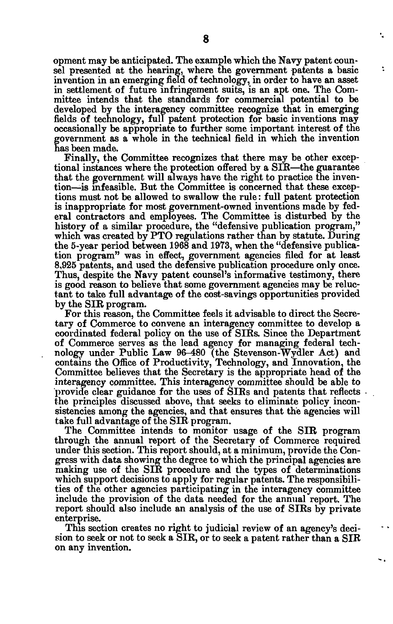opment may be anticipated. The example which the Navy patent counsel presented at the hearing, where the government patents a basic invention in an emerging field of technology, in order to have an asset in settlement of future infringement suits, is an apt one. The Committee intends that the standards for commercial potential to be developed by the interagency committee recognize that in emerging fields of technology, full patent protection for basic inventions may occasionally be appropriate to further some important interest of the government as a whole in the technical field in which the invention has been made.

Finally, the Committee recognizes that there may be other exceptional instances where the protection offered by a SIR—the guarantee that the government will always have the right to practice the invention—is infeasible. But the Committee is concerned that these exceptions must not be allowed to swallow the rule: full patent protection is inappropriate for most government-owned inventions made by federal contractors and employees. The Committee is disturbed by the history of a similar procedure, the "defensive publication program," which was created by PTO regulations rather than by statute. During the 5-year period between 1968 and 1973, when the "defensive publication program" was in effect, government agencies filed for at least 8,925 patents, and used the defensive publication procedure only once. Thus, despite the Navy patent counsel's informative testimony, there is good reason to believe that some government agencies may be reluctant to take full advantage of the cost-savings opportunities provided by the SIR program.

For this reason, the Committee feels it advisable to direct the Secretary of Commerce to convene an interagency committee to develop a coordinated federal policy on the use of SIRs. Since the Department of Commerce serves as the lead agency for managing federal technology under Public Law 96-480 (the Stevenson-Wydler Act) and contains the Office of Productivity, Technology, and Innovation, the Committee believes that the Secretary is the appropriate head of the interagency committee. This interagency committee should be able to provide clear guidance for the uses of SIRs and patents that reflects. the principles discussed above, that seeks to eliminate policy inconsistencies among the agencies, and that ensures that the agencies will take full advantage of the SIR program.

The Committee intends to monitor usage of the SIR program through the annual report of the Secretary of Commerce required under this section. This report should, at a minimum, provide the Congress with data showing the degree to which the principal agencies are making use of the SIR procedure and the types of determinations which support decisions to apply for regular patents. The responsibilities of the other agencies participating in the interagency committee include the provision of the data needed for the annual report. The report should also include an analysis of the use of SIRs by private enterprise.

This section creates no right to judicial review of an agency's decision to seek or not to seek a SIR, or to seek a patent rather than a SIR on any invention.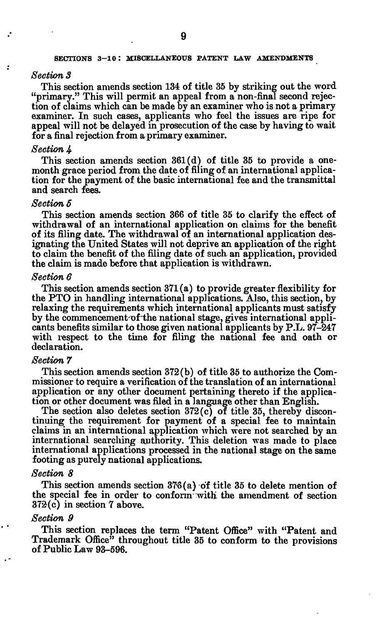### *Section 3*

 $\ddot{\cdot}$ 

This section amends section 134 of title 35 by striking out the word "primary." This will permit an appeal from a non-final second rejection of claims which can be made by an examiner who is not a primary examiner. In such cases, applicants who feel the issues are ripe for appeal will not be delayed in prosecution of the case by having to wait for a final rejection from a primary examiner.

### *Section 4-*

This section amends section 361(d) of title 35 to provide a onemonth grace period from the date of filing of an international application for the payment of the basic international fee and the transmittal and search fees.

### *Section 5*

This section amends section 366 of title 35 to clarify the effect of withdrawal of an international application on claims for the benefit of its filing date. The withdrawal of an international application designating the United States will not deprive an application of the right to claim the benefit of the filing date of such an application, provided the claim is made before that application is withdrawn.

### *Section 6*

This section amends section 371(a) to provide greater flexibility for the PTO in handling international applications. Also, this section, by relaxing the requirements which international applicants must satisfy by the commencement of the national stage, gives international applicants benefits similar to those given national applicants by P.L. 97-247 with respect to the time for filing the national fee and oath or declaration.

### *Section 7*

This section amends section 372(b) of title 35 to authorize the Commissioner to require a verification of the translation of an international application or any other document pertaining thereto if the application or other document was filed in a language other than English.

The section also deletes section  $372(c)$  of title 35, thereby discontinuing the requirement for payment of a special fee to maintain claims in an international application which were not searched by an international searching authority. This deletion was made to place international applications processed in the national stage on the same footing as purely national applications.

### *Section 8*

This section amends section 378(a) of title 35 to delete mention of the special fee in order to conform with the amendment of section 372(c) in section 7 above.

### *Section 9*

This section replaces the term "Patent Office" with "Patent and Trademark Office<sup>5</sup> throughout title 35 to conform to the provisions of Public Law 93-596.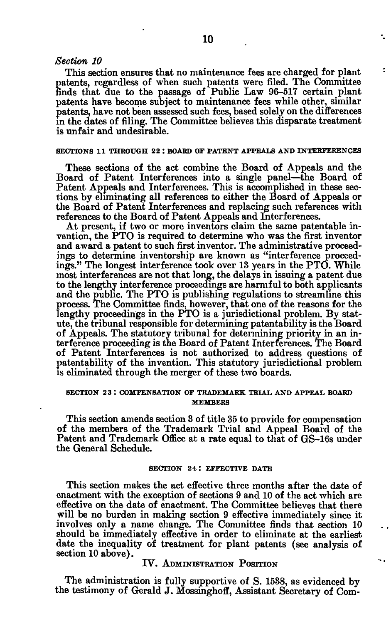### *Section 10*

This section ensures that no maintenance fees are charged for plant patents, regardless of when such patents were filed. The Committee finds that due to the passage of Public Law 9&-517 certain plant patents have become subject to maintenance fees while other, similar patents, have not been assessed such fees, based solely on the differences in the dates of filing. The Committee believes this disparate treatment is unfair and undesirable.

 $\ddot{\cdot}$ 

### **SECTIONS 11 THROUGH 22 : BOARD OF PATENT APPEALS AND INTERFERENCES**

These sections of the act combine the Board of Appeals and the Board of Patent Interferences into a single panel—the Board of Patent Appeals and Interferences. This is accomplished in these sections by eliminating all references to either the Board of Appeals or the Board of Patent Interferences and replacing such references with references to the Board of Patent Appeals and Interferences.

At present, if two or more inventors claim the same patentable invention, the PTO is required to determine who was the first inventor and award a patent to such first inventor. The administrative proceedings to determine inventorship are known as "interference proceedings." The longest interference took over 13 years in the PTO. While most interferences are not that long, the delays in issuing a patent due to the lengthy interference proceedings are harmful to both applicants and the public. The PTO is publishing regulations to streamline this process. The Committee finds, however, that one of the reasons for the lengthy proceedings in the PTO is a jurisdictional problem. By statute, the tribunal responsible for determining patentability is the Board of Appeals. The statutory tribunal for determining priority in an interference proceeding is the Board of Patent Interferences. The Board of Patent Interferences is not authorized to address questions of patentability of the invention. This statutory jurisdictional problem is eliminated through the merger of these two boards.

### **SECTION 23 : COMPENSATION OF TRADEMARK TRIAL AND APPEAL BOARD MEMBERS**

This section amends section 3 of title 35 to provide for compensation of the members of the Trademark Trial and Appeal Board of the Patent and Trademark Office at a rate equal to that of GS-16s under the General Schedule.

#### **SECTION 24 : EFFECTIVE DATE**

This section makes the act effective three months after the date of enactment with the exception of sections 9 and 10 of the act which are effective on the date of enactment. The Committee believes that there will be no burden in making section 9 effective immediately since it involves only a name change. The Committee finds that section 10 should be immediately effective in order to eliminate at the earliest date the inequality of treatment for plant patents (see analysis of section 10 above).

### IV. ADMINISTRATION POSITION

The administration is fully supportive of S. 1538, as evidenced by the testimony of Gerald J. Mossinghoff, Assistant Secretary of Com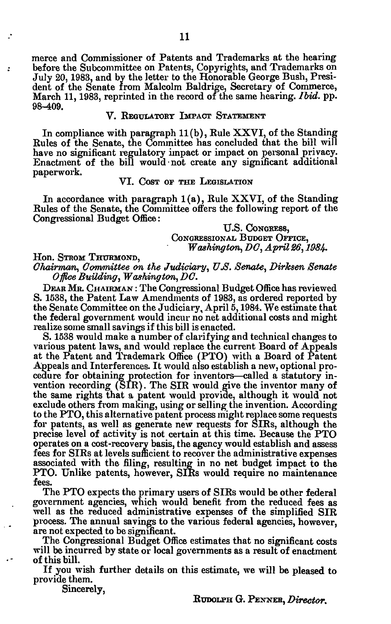merce and Commissioner of Patents and Trademarks at the hearing before the Subcommittee on Patents, Copyrights, and Trademarks on July 20,1983, and by the letter to the Honorable George Bush, President of the Senate from Malcolm Baldrige, Secretary of Commerce, March 11,1983, reprinted in the record of the same hearing. *Ibid.* pp. 98-409.

# V. REGULATORY IMPACT STATEMENT

In compliance with paragraph 11(b), Rule XXVI, of the Standing Rules of the Senate, the Committee has concluded that the bill will have no significant regulatory impact or impact on personal privacy. Enactment of the bill would not create any significant additional paperwork.

### VI. COST OF THE LEGISLATION

In accordance with paragraph 1(a), Rule XXVI, of the Standing Rules of the Senate, the Committee offers the following report of the Congressional Budget Office:

U.S. CONGRESS, CONGRESSIONAL BUDGET OFFICE, *Washington, DC, April 26,1984.* 

## Hon. STROM THURMOND,

 $\ddot{\phantom{a}}$ 

### *Chairman, Committee on the Judiciary, U.S. Senate, Dirksen Senate Office Building, Washington, DC.*

DEAR MR. CHAIRMAN : The Congressional Budget Office has reviewed S. 1538, the Patent Law Amendments of 1983, as ordered reported by the Senate Committee on the Judiciary, April 5, 1984. We estimate that the federal government would incur no net additional costs and might realize some small savings if this bill is enacted.

S. 1538 would make a number of clarifying and technical changes to various patent laws, and would replace the current Board of Appeals at the Patent and Trademark Office (PTO) with a Board of Patent Appeals and Interferences. It would also establish a new, optional procedure for obtaining protection for inventors—called a statutory invention recording (SIR). The SIR would give the inventor many of the same rights that a patent would provide, although it would not exclude others from making, using or selling the invention. According to the PTO, this alternative patent process might replace some requests for patents, as well as generate new requests for SIRs, although the precise level of activity is not certain at this time. Because the PTO operates on a cost-recovery basis, the agency would establish and assess fees for SIRs at levels sufficient to recover the administrative expenses associated with the filing, resulting in no net budget impact to the PTO. Unlike patents, however, SIRs would require no maintenance fees.

The PTO expects the primary users of SIRs would be other federal government agencies, which would benefit from the reduced fees as well as the reduced administrative expenses of the simplified SIR process. The annual savings to the various federal agencies, however, are not expected to be significant.

The Congressional Budget Office estimates that no significant costs will be incurred by state or local governments as a result of enactment of this bill.

If you wish further details on this estimate, we will be pleased to provide them.

Sincerely,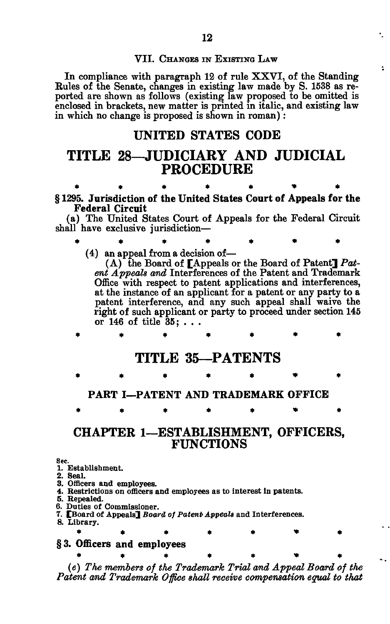# VII. CHANGES IN EXISTING LAW

 $\ddot{\phantom{a}}$ 

In compliance with paragraph 12 of rule XXVI, of the Standing Rules of the Senate, changes in existing law made by S. 1538 as reported are shown as follows (existing law proposed to be omitted is enclosed in brackets, new matter is printed in italic, and existing law in which no change is proposed is shown in roman):

# **UNITED STATES CODE**

# **TITLE 28—JUDICIARY AND JUDICIAL PROCEDURE**

§ **1295. Jurisdiction of the United States Court of Appeals for the Federal Circuit** 

\*\*\*\*\*\* \*

**\*\*\*\*\*\* \*** 

\*\*\* \*\*\* \*\* \*\* \*

(a) The United States Court of Appeals for the Federal Circuit shall have exclusive jurisdiction—

(4) an appeal from a decision of—

(A) the Board of [Appeals or the Board of Patent] *Pat*ent Appeals and Interferences of the Patent and Trademark Office with respect to patent applications and interferences, at the instance of an applicant for a patent or any party to a patent interference, and any such appeal shall waive the right of such applicant or party to proceed under section 145 or 146 of title 35; . . .

# **TITLE 35—PATENTS**

\*\*\*\*\*\* \*

PART I—PATENT AND TRADEMARK OFFICE

\*\*\*\*\*\* \*

# **CHAPTER 1—ESTABLISHMENT, OFFICERS, FUNCTIONS**

**Sec.** 

**1. Establishment.** 

**2. Seal.** 

- **3. Officers and employees.**
- **4. Restrictions on officers and employees as to interest in patents.**
- **5. Repealed.**
- **6. Duties of Commissioner.**
- **7. [Board of Appeals]** *Board of Patent Appeals* **and Interferences.**
- **8. Library.**

**\*\*\*\*\*\* \***  §3. **Officers and employees** 

**\*\*\*\*\*\* \***  (e) *The members of the Trademark Trial and Appeal Board of the Patent and Trademark Office shall receive compensation equal to that*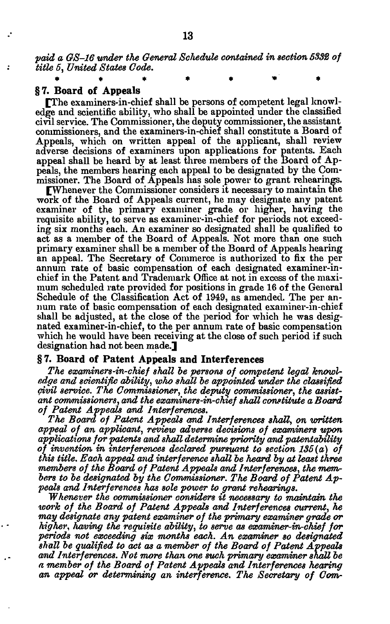*paid a OS-16 under the General Schedule contained in section 5332 of title 5, United States Code. \*\*\*\*\*\* \** 

§7. **Board** of **Appeals** 

[The examiners-in-chief shall be persons of competent legal knowledge and scientific ability, who shall be appointed under the classified civil service. The Commissioner, the deputy commissioner, the assistant commissioners, and the examiners-in-chief shall constitute a Board of Appeals, which on written appeal of the applicant, shall review adverse decisions of examiners upon applications for patents. Each appeal shall be heard by at least three members of the Board of Appeals, the members hearing each appeal to be designated by the Commissioner. The Board of Appeals has sole power to grant rehearings.

[Whenever the Commissioner considers it necessary to maintain the work of the Board of Appeals current, he may designate any patent examiner of the primary examiner grade or higher, having the requisite ability, to serve as examiner-in-chief for periods not exceeding six months each. An examiner so designated shall be qualified to act as a member of the Board of Appeals. Not more than one such primary examiner shall be a member of the Board of Appeals hearing an appeal. The Secretary of Commerce is authorized to fix the per annum rate of basic compensation of each designated examiner-inchief in the Patent and Trademark Office at not in excess of the maximum scheduled rate provided for positions in grade 16 of the General Schedule of the Classification Act of 1949, as amended. The per annum rate of basic compensation of each designated examiner-in-chief shall be adjusted, at the close of the period for which he was designated examiner-in-chief, to the per annum rate of basic compensation which he would have been receiving at the close of such period if such designation had not been made.]

### § 7. **Board** of Patent **Appeals and Interferences**

The examiners-in-chief shall be persons of competent legal knowl*edge and scientific ability, who shall be appointed under the classified civil service. The Commissioner, the deputy commissioner, the assistant commissioners, and the examiners-in-chief shall constitute a Board of Patent Appeals and Interferences.* 

*The Board of Patent Appeals and Interferences shall, on written appeal of an applicant, review adverse decisions of examiners upon applications for patents and shall determine priority and patentability of invention in interferences declared pursuant to section 135(a) of this title. Each appeal and interference shall be heard by at least three members of the Board of Patent Appeals and Interferences, the members to be designated by the Commissioner. The Board of Patent Appeals and Interferences has sole power to grant rehearings.* 

*Whenever the commissioner considers it necessary to maintain the work of the Board of Patent Appeals and Interferences current, he may designate any patent examiner of the primary examiner grade or higher, having the requisite ability, to serve as examiner-in-chief for periods not exceeding six months each. An examiner so designated shall be qualified to act as a member of the Board of Patent Appeals and Interferences. Not more than one such primary examiner shall be a member of the Board of Patent Appeals and Interferences hearing an appeal or determining an interference. The Secretary of Com-*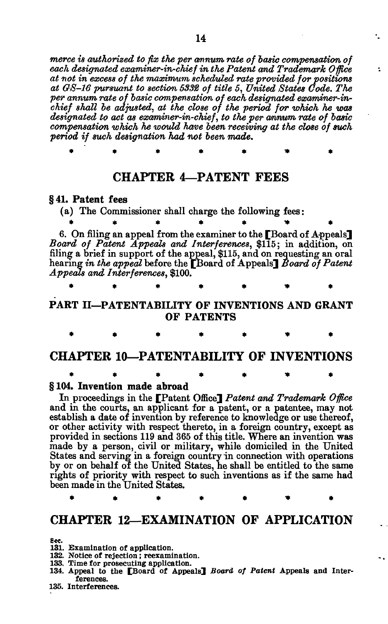÷

*merce is authorised to fix the per annum rate of basic compensation of each designated examiner-in-chief in the Patent and Trademark Office at not in excess of the maximum scheduled rate provided for positions at GS-16 pursuant to section 5332 of title 5, United /States Code. The per annum rate of basic compensation of each designated examiner-inchief shall be adjusted, at the close of the period for which he was designated to act as examiner-in-chief, to the per annum rate of basic compensation which he would have been receiving at the close of such period if such designation had not been made.* 

**\*\*\*\*\*\* \*** 

# **CHAPTER 4—PATENT FEES**

### **§41. Patent fees**

(a) The Commissioner shall charge the following fees: \*\*\* \*\* \* \* \*

6. On filing an appeal from the examiner to the [Board of Appeals] *Board of Patent Appeals and Interferences,* \$115; in addition, on filing a brief in support of the appeal, \$115, and on requesting an oral hearing *in the appeal* before the [Board of Appeals] *Board of Patent Appeals and Interferences,* \$100.

\*\*\*\*\*\* \*

# PART II—PATENTABILITY OF INVENTIONS AND GRANT OF PATENTS

# CHAPTER 10—PATENTABILITY OF INVENTIONS

\*\*\*\*\*\* \*

\*\*\*\*\*\* \* **§104. Invention made abroad** 

In proceedings in the [Patent Office] *Patent and Trademark Office*  and in the courts, an applicant for a patent, or a patentee, may not establish a date of invention by reference to knowledge or use thereof, or other activity with respect thereto, in a foreign country, except as provided in sections 119 and 365 of this title. Where an invention was made by a person, civil or military, while domiciled in the United States and serving in a foreign country in connection with operations by or on behalf of the United States, he shall be entitled to the same rights of priority with respect to such inventions as if the same had been made in the United States.

# **CHAPTER 12—EXAMINATION OF APPLICATION**

 $\mathcal{N}^*$  . The set of the set of the set of the set of the set of the set of the set of the set of the set of the set of the set of the set of the set of the set of the set of the set of the set of the set of the set of

**Sec.** 

- **132. Notice of rejection; reexamination.**
- **133. Time for prosecuting application.**
- **134. Appeal to the [Board of Appeals]** *Board of Patent* **Appeals and Interferences.**
- **135. Interferences.**

**<sup>131.</sup> Examination of application.**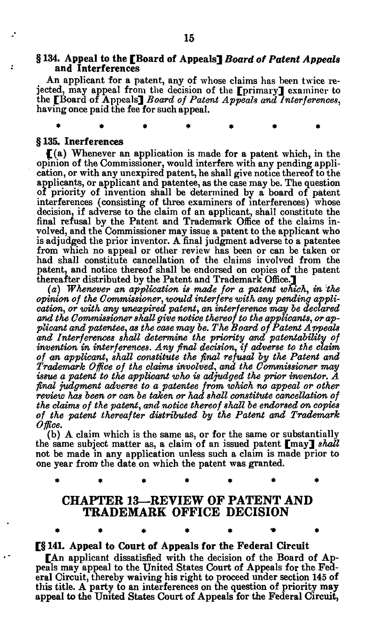# § 134. Appeal to the [Board of Appeals] *Board of Patent Appeals*  and Interferences

An applicant for a patent, any of whose claims has been twice rejected, may appeal from the decision of the *[primary]* examiner to the [Board of Appeals] *Board of Patent Appeals and Interferences,*  having once paid the fee for such appeal.

**\*\*\*\*\*\* \*** 

### §135. Inerferences

 $(a)$  Whenever an application is made for a patent which, in the opinion of the Commissioner, would interfere with any pending application, or with any unexpired patent, he shall give notice thereof to the applicants, or applicant and patentee, as the case may be. The question of priority of invention shall be determined by a board of patent interferences (consisting of three examiners of interferences) whose decision, if adverse to the claim of an applicant, shall constitute the final refusal by the Patent and Trademark Office of the claims involved, and the Commissioner may issue a patent to the applicant who is adjudged the prior inventor. A final judgment adverse to a patentee from which no appeal or other review has been or can be taken or had shall constitute cancellation of the claims involved from the patent, and notice thereof shall be endorsed on copies of the patent thereafter distributed by the Patent and Trademark Office.]

*(a) Whenever an application is made for a patent which, in the opinion of the Commissioner, would interfere with any pending application, or with any unexpired patent, an interference may be declared and the Commissioner shall give notice thereof to the applicants, or applicant and patentee, as the case may be. The Board of Patent Appeals and Interferences shall determine the priority and patentability of invention in interferences. Any final decision, if adverse to the claim*  of an applicant, shall constitute the final refusal by the Patent and *Trademark Office of the claims involved, and the Commissioner may issue a patent to the applicant who is adjudged the prior inventor. A final judgment adverse to a patentee from which no appeal or other review has been or can be taken or had shall constitute cancellation of the claims of the patent, and notice thereof shall be endorsed on copies of the patent thereafter distributed by the Patent and Trademark Office.* 

(b) A claim which is the same as, or for the same or substantially the same subject matter as, a claim of an issued patent [may] *shall*  not be made in any application unless such a claim is made prior to one year from the date on which the patent was granted.

**\*\*\*\*\*\* \*** 

# **CHAPTER 13—REVIEW OF PATENT AND TRADEMARK OFFICE DECISION**

**\*\*\*\*\*\* \***  [§ 141. Appeal to Court of Appeals for the Federal Circuit

[An applicant dissatisfied with the decision of the Board of Appeals may appeal to the United States Court of Appeals for the Federal Circuit, thereby waiving his right to proceed under section 145 of this title. A party to an interferences on the question of priority may appeal to the United States Court of Appeals for the Federal Circuit,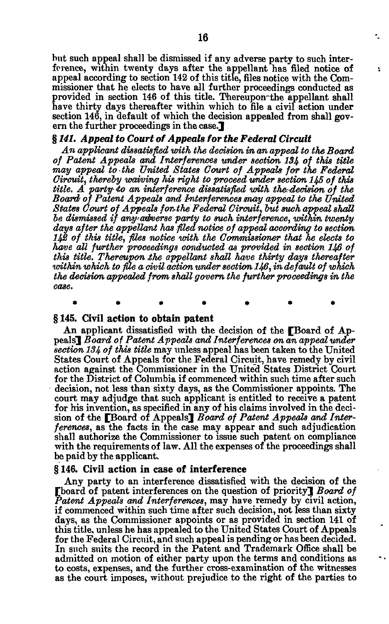but such appeal shall be dismissed if any adverse party to such interference, within twenty days after the appellant has filed notice of appeal according to section 142 of this title, files notice with the Commissioner that he elects to have all further proceedings conducted as provided in section 146 of this title. Thereupon-the appellant shall have thirty days thereafter within which to file a civil action under section 146, in default of which the decision appealed from shall govern the further proceedings in the case.]

÷

## **§** *141. Appeal to Court of Appeals for the Federal Circuit*

*An applicant dissatisfied with the decision in an appeal to the Board of Patent Appeals and Interferences under section 134 of this title may appeal to the United States Court of Appeals for the Federal Circuit, thereby waiving his right to proceed under section 145 of this title. A party- io an interference dissatisfied with the: decision of the Board of Patent Appeals and Interferences imay appeal to the United States Court of Appeals for the Federal Circuit, but such appeal shall be dismissed if any-adverse party to such interference, within twenty days after the appellant has filed notice of appeal according to section 142 of this title, files notice with the Commissioner that he elects to have all further proceedings conducted as provided in section l]fi of this title. Thereupon the appellant shall have thirty days thereafter within which to file a civil action under section 146, in default of which the decision appealed from shall govern the further proceedings in the case.* 

**\*\*\*\*\*\* \*** 

## **§ 145. Civil action to obtain patent**

An applicant dissatisfied with the decision of the [Board of Appeals] *Board of Patent Appeals and Interferences on an appeal under section 134 of this title* may unless appeal has been taken to the United States Court of Appeals for the Federal Circuit, have remedy by civil action against the Commissioner in the United States District Court for the District of Columbia if commenced within such time after such decision, not less than sixty days, as the Commissioner appoints. The court may adjudge that such applicant is entitled to receive a patent for his invention, as specified.in any of his claims involved in the decision of the [Board of Appeals] *Board of Patent Appeals and Interferences,* as the facts in the case may appear and such adjudication shall authorize the Commissioner to issue such patent on compliance with the requirements of law. All the expenses of the proceedings shall be paid by the applicant.

### **§ 146. Civil action in case of interference**

Any party to an interference dissatisfied with the decision of the [board of patent interferences on the question of priority] *Board of Patent Appeals and Interferences,* may have remedy by civil action, if commenced within such time after such decision, not less than sixty days, as the Commissioner appoints or as provided in section 141 of this title, unless he has appealed to the United States Court of Appeals for the Federal Circuit, and such appeal is pending or has been decided. In such suits the record in the Patent and Trademark Office shall be admitted on motion of either party upon the terms and conditions as to costs, expenses, and the further cross-examination of the witnesses as the court imposes, without prejudice to the right of the parties to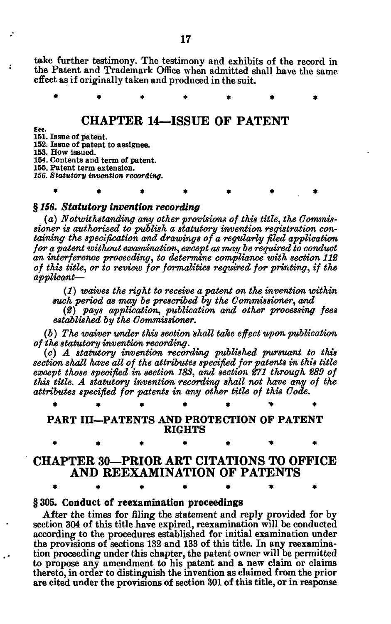take further testimony. The testimony and exhibits of the record in the Patent and Trademark Office when admitted shall have the same effect as if originally taken and produced in the suit.

**\*\*\*\*\*\* \*** 

# **CHAPTER 14—ISSUE OF PATENT**

**£«c. 151. Issue of patent.** 

**152. Issue of patent to assignee.** 

**153. How issued.** 

**154. Contents and term of patent.** 

**155. Patent term extension.** 

*156. Statutory invention recording.* 

### **§** *156. Statutory invention recording*

*(a) Notwithstanding any other provisions of this title, the Commissioner is authorized to publish a statutory invention registration containing the specification and drawings of a regularly filed application for a patent without examination, except as may be required to conduct an interference proceeding, to determine compliance with section 112 of this title, or to review for formalities required for printing, if the applicant*—

**\*\*\*\*\*\* \*** 

*(1) waives the right to receive a patent on the invention within such period as may be prescribed by the Commissioner, and (2) pays application, publication and other processing fees* 

*established by the Commissioner.* 

*(b) The waiver under this section shall take effect upon publication of the statutory invention recording.* 

(c) *A statutory invention recording published pursuant to this section shall have all of the attributes specified for patents in this title except those specified in section 183, and section 271 through 289 of this title. A statutory invention recording shall not have any of the attributes specified for patents in any other title of this Code.* 

**\*\*\*\*\*\* \*** 

**PART III—PATENTS AND PROTECTION OF PATENT RIGHTS** 

# **CHAPTER 30—PRIOR ART CITATIONS TO OFFICE AND REEXAMINATION OF PATENTS**

**\*\*\*\*\*\* \*** 

**\*\*\*\*\*\* \*** 

# **§** 305. **Conduct of reexamination proceedings**

After the times for filing the statement and reply provided for by section 304 of this title have expired, reexamination will be conducted according to the procedures established for initial examination under the provisions of sections 132 and 133 of this title. In any reexamination proceeding under this chapter, the patent owner will be permitted to propose any amendment to his patent and a new claim or claims thereto, in order to distinguish the invention as claimed from the prior are cited under the provisions of section 301 of this title, or in response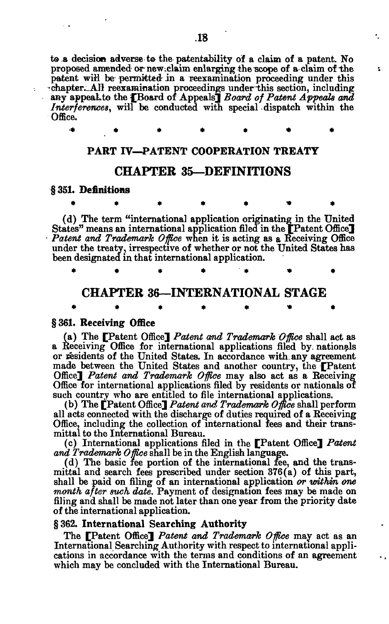to a decision adverse to the patentability of a claim of a patent. No proposed amended-or new iclaim enlarging the scope of a claim of the patent will be permitted in a reexamination proceeding under this •chapter...All reexamination proceedings under this section, including any appeaLto the {Board of Appeals] *Board of Patent Appeals and Interferences,* will be conducted with special dispatch within the Office.

÷.

**PART IV—PATENT COOPERATION TREATY** 

 $\mathbf{r}^* = \mathbf{r}^* + \mathbf{r}^* + \mathbf{r}^* + \mathbf{r}^* + \mathbf{r}^* + \mathbf{r}^* + \mathbf{r}^* + \mathbf{r}^* + \mathbf{r}^* + \mathbf{r}^* + \mathbf{r}^* + \mathbf{r}^* + \mathbf{r}^* + \mathbf{r}^* + \mathbf{r}^* + \mathbf{r}^* + \mathbf{r}^* + \mathbf{r}^* + \mathbf{r}^* + \mathbf{r}^* + \mathbf{r}^* + \mathbf{r}^* + \mathbf{r}^* + \mathbf{$ 

\*\*\*\*\*\* \*

# **CHAPTER 35—DEFINITIONS**

### §351. **Definitions**

(d) The term "international application originating in the United States" means an international application filed in the {Patent Office] *Patent and Trademark Office* when it is acting as a Receiving Office under the treaty, irrespective of whether or not the United States has been designated in that international application.

\* \* \* \* \* \* \*

# **CHAPTER 36—INTERNATIONAL STAGE**

\*\*\*\*\*\* \*

# §361. **Receiving Office**

(a) The [Patent Office] *Patent and Trademark Office* shall act as a Receiving Office for international applications filed by. nationals or residents of the United States. In accordance with any agreement made between the United States and another country, the [Patent Office] *Patent and Trademark Office* may also act as a Receiving Office for international applications filed by residents or nationals of such country who are entitled to file international applications.

(b) The [Patent Office] *Patent and Trademark Office* shall perform all acts connected with the discharge of duties required of a Receiving Office, including the collection of international fees and their transmittal to the International Bureau.

(c) International applications filed in the [Patent Office] *Patent and Trademark Office* shall be in the English language.

(d) The basic fee portion of the international fee, and the transmittal and search fees prescribed under section 376(a) of this part, shall be paid on filing of an international application *or within one*  month after such date. Payment of designation fees may be made on filing and shall be made not later than one year from the priority date of the international application.

# §362. **International Searching Authority**

The [Patent Office] *Patent and Trademark Office* may act as an International Searching Authority with respect to international applications in accordance with the terms and conditions of an agreement which may be concluded with the International Bureau.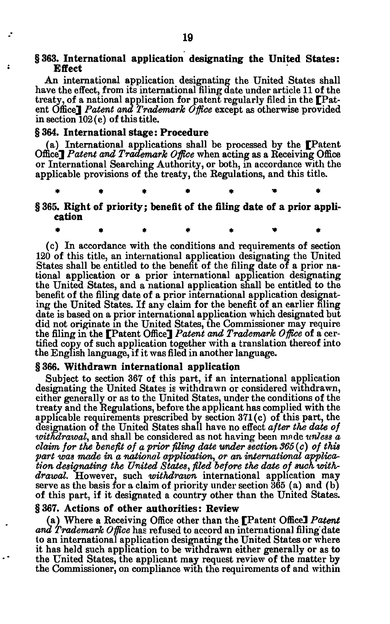### **§363. International application designating the United States: Effect**

An international application designating the United States shall have the effect, from its international filing date under article 11 of the treaty, of a national application for patent regularly filed in the  $\blacksquare\text{Pat}$ ent Office] *Patent and Trademark Office* except as otherwise provided in section 102 (e) of this title.

### **§364. International stage: Procedure**

(a) International applications shall be processed by the [Patent Office] *Patent and Trademark Office* when acting as a Receiving Office or International Searching Authority, or both, in accordance with the applicable provisions of the treaty, the Regulations, and this title.

**§ 365. Right of priority; benefit of the filing date of a prior application** 

\*\*\*\*\*\* \*

**\*\*\*\*\*\* \*** 

(c) In accordance with the conditions and requirements of section 120 of this title, an international application designating the United States shall be entitled to the benefit of the filing date of a prior national application or a prior international application designating the United States, and a national application shall be entitled to the benefit of the filing date of a prior international application designating the United States. If any claim for the benefit of an earlier filing date is based on a prior international application which designated but did not originate in the United States, the Commissioner may require the filing in the [Patent Office] *Patent and Trademark Office* of a certified copy of such application together with a translation thereof into the English language, if it was filed in another language.

### §366. **Withdrawn international application**

Subject to section 367 of this part, if an international application designating the United States is withdrawn or considered withdrawn, either generally or as to the United States, under the conditions of the treaty and the Regulations, before the applicant has complied with the applicable requirements prescribed by section 371(c) of this part, the designation of the United States shall have no effect *after the date of withdrawal,* and shall be considered as not having been mnde *unless a claim for the benefit of a prior fling date wnder section 365(c) of this part was made in a national application, or an international applica*tion designating the United States, filed before the date of such with*drawal.* However, such *withdrawn* international application may serve as the basis for a claim of priority under section 365 (a) and (b) of this part, if it designated a country other than the United States.

## §367. **Actions of other authorities: Review**

(a) Where a Receiving Office other than the [Patent Office] *Patent and Trademark Office* has refused to accord an international filing'date to an international application designating the United States or where it has held such application to be withdrawn either generally or as to the United States, the applicant may request review of the matter by the Commissioner, on compliance with the requirements of and within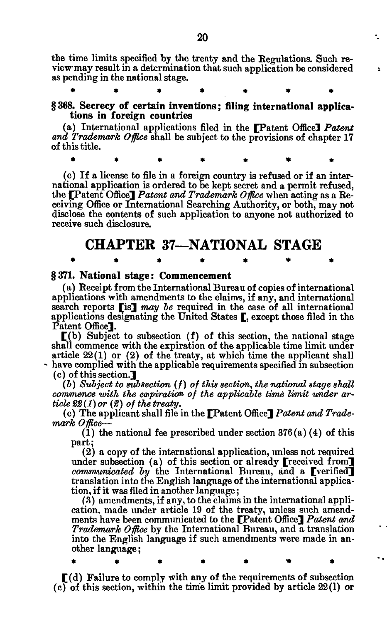the time limits specified by the treaty and the Regulations. Such review may result in a determination that such application be considered as pending in the national stage.

**\*\*\*\*\*\* \*** 

§ 368. Secrecy of certain inventions; filing international applications in foreign countries

(a) International applications filed in the **[Patent Office]** Patent *and Trademark Office* shall be subject to the provisions of chapter 17 of this title.

**\*\*\*\*\*\* \*** 

(c) If a license to file in a foreign country is refused or if an international application is ordered to be kept secret and a permit refused, the fPatent Office] *Patent and Trademark Office* when acting as a Receiving Office or International Searching Authority, or both, may not disclose the contents of such application to anyone not authorized to receive such disclosure.

# **CHAPTER 37—NATIONAL STAGE**  \*\*\*\*\*\* \*

### §371. National stage: Commencement

(a) Receipt from the International Bureau of copies of international applications with amendments to the claims, if any, and international search reports [is] *may be* required in the case of all international applications designating the United States [, except those filed in the Patent Office<sup>1</sup>.

 $\Gamma$ (b) Subject to subsection (f) of this section, the national stage shall commence with the expiration of the applicable time limit under article 22(1) or (2) of the treaty, at which time the applicant shall - have complied with the applicable requirements specified in subsection

(c) of this section.]

(b) Subject to subsection (f) of this section, the national stage shall *commence with the expiration of the applicable time limit under article 22(1) or (2) of the treaty.* 

(c) The applicant shall file in the [Patent Office] *Patent and Trademark Office*—

 $(1)$  the national fee prescribed under section 376 $(a)$  $(4)$  of this part;

(2) a copy of the international application, unless not required under subsection (a) of this section or already **[**received from] *communicated by* the International Bureau, and a *[verified]* translation into the English language of the international application, if it was filed in another language;

(3) amendments, if any, to the claims in the international application, made under article 19 of the treaty, unless such amendments have been communicated to the [Patent Office] *Patent and Trademark Office* by the International Bureau, and a translation into the English language if such amendments were made in another language; \*\*\*\* \*\*\*

 $[(d)$  Failure to comply with any of the requirements of subsection (c) of this section, within the time limit provided by article 22(1) or

÷.

 $\ddot{\phantom{a}}$ 

٠.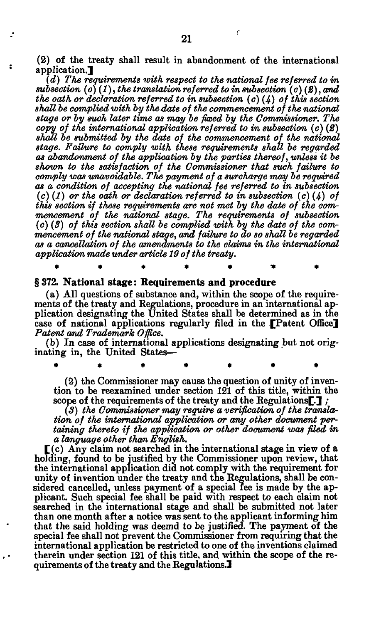(2) of the treaty shall result in abandonment of the international application.]

*(d) The requirements with respect to the national fee referred to in subsection* (*o) (1*), *the translation referred to in subsection* (c) *{2), and the oath or declaration referred to in subsection* (c) (4) *of this section shall be complied with by the date of the commencement of the national stage or by such later time as may be fixed by the Commissioner. Tlie copy of the international application referred to in subsection* (c) (#) *shall be submitted by the date of the commencement of the national stage. Failure to comply with these requirements shall be regarded as abandonment of the application by the parties thereof, unless it be shown to the satisfaction of the Commissioner that such failure to comply was unavoidable. The payment of a surcharge may be required as a condition of accepting the national fee referred to in subsection (c) (1) or the oath or declaration referred to in subsection* (c)(4) *of this section if these requirements are not met by the date of the commencement of the national- stage. The requirements of subsection (c) (3) of this section shall be complied with by the date of the commencement of the national stage, and failure to do so shall be regarded as a cancellation of the amendments to the claims in the international application made under article 19 of the treaty.* 

§372. **National** stage: **Requirements and procedure** 

\*\*\*\*\*\* \*

(a) All questions of substance and, within the scope of the requirements of the treaty and Eegulations, procedure in an international application designating the United States shall be determined as in the case of national applications regularly filed in the [Patent Office] *Patent and Trademark Office.* 

(b) In case of international applications designating but not originating in, the United States—

**\*\*\*\*\*\* \*** 

(2) the Commissioner may cause the question of unity of invention to be reexamined under section 121 of this title, within the scope of the requirements of the treaty and the Regulations $\Box$ ;

*{§) the Commissioner may require a verification of the translation of the international application or any other document pertaining thereto if the application or other document was filed in a language other than English.* 

 $\Gamma(c)$  Any claim not searched in the international stage in view of a holding, found to be justified by the Commissioner upon review, that the international application did not comply with the requirement for unity of invention under the treaty and the Regulations, shall be considered cancelled, unless payment of a special fee is made by the applicant. Such special fee shall be paid with respect to each claim not searched in the international stage and shall be submitted not later than one month after a notice was sent to the applicant informing him that the said holding was deemd to be justified. The payment of the special fee shall not prevent the Commissioner from requiring that the international application be restricted to one of the inventions claimed therein under section 121 of this title, and within the scope of the requirements of the treaty and the Regulations.]

¢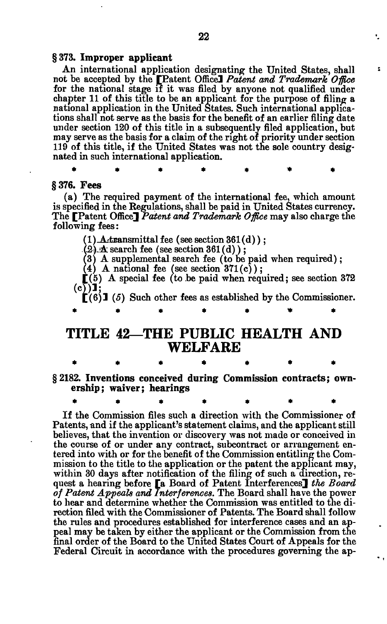### §373. **Improper applicant**

An international application designating the United States, shall not be accepted by the [Patent Office] *Patent and Trademark Office*  for the national stage if it was filed by anyone not qualified under chapter 11 of this title to be an applicant for the purpose of filing a national application in the United States. Such international applications shall not serve as the basis for the benefit of an earlier filing date under section 120 of this title in a subsequently filed application, but may serve as the basis for a claim of the right of priority under section 119 of this title, if the United States was not the sole country designated in such international application.

### **§376. Fees**

(a) The required payment of the international fee, which amount is specified in the Regulations, shall be paid in United States currency. The [Patent Office] *Patent and Trademark Office* may also charge the following fees:

\*\*\*\* \*\*\* \*\*

 $(1)$ -A<sub>fteans</sub>mittal fee (see section 361 $(d)$ );

 $(2)$  A search fee (see section  $361(d)$ );

(3) A supplemental search fee (to be paid when required);

(4) A national fee (see section  $371(c)$ );

 $(5)$  A special fee (to be paid when required; see section 372  $(c)$ ];

**[(6)1** (5) Such other fees as established by the Commissioner.

# \*\*\* \*\*\* \*\* **TITLE 42—THE PUBLIC HEALTH AND WELFARE**

§2182. **Inventions conceived during Commission contracts; ownership; waiver; hearings** 

\*\*\*\*\*\* \*

**\*\*\*\*\*\* \*** 

If the Commission files such a direction with the Commissioner of Patents, and if the applicant's statement claims, and the applicant still believes, that the invention or discovery was not made or conceived in the course of or under any contract, subcontract or arrangement entered into with or for the benefit of the Commission entitling the Commission to the title to the application or the patent the applicant may, within 30 days after notification of the filing of such a direction, request a hearing before [a Board of Patent Interferences] *the Board of Patent Appeals and Interferences.* The Board shall have the power to hear and determine whether the Commission was entitled to the direction filed with the Commissioner of Patents. The Board shall follow the rules and procedures established for interference cases and an appeal may be taken by either the applicant or the Commission from the final order of the Board to the United States Court of Appeals for the Federal Circuit in accordance with the procedures governing the apš.